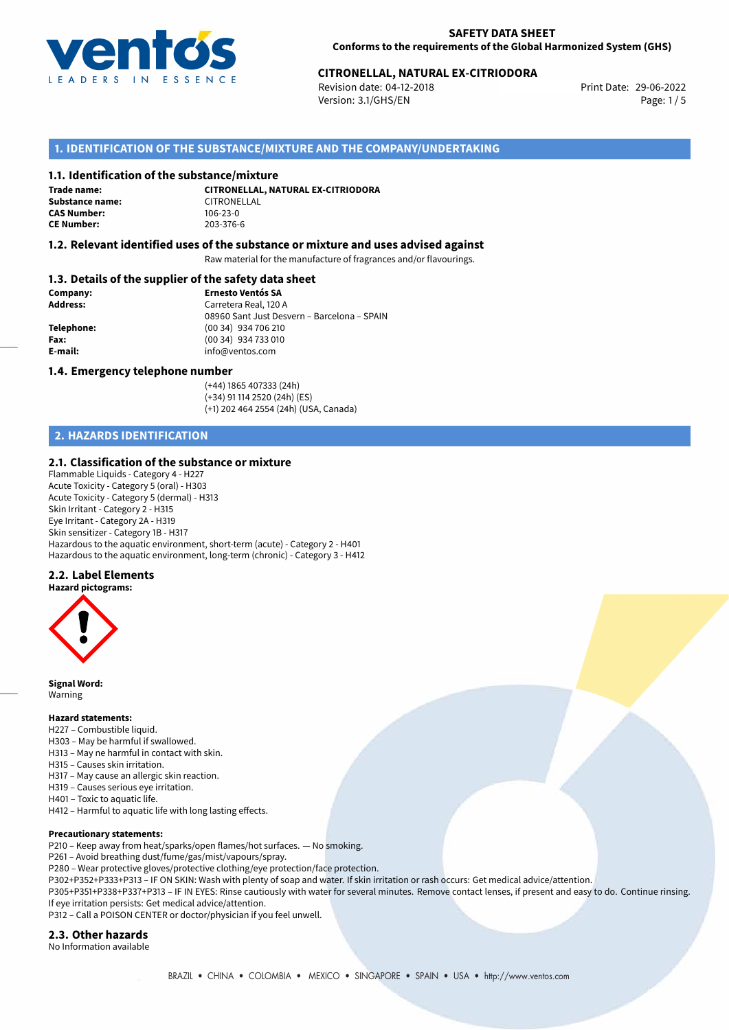

# 29-06-2022 **CITRONELLAL, NATURAL EX-CITRIODORA**

Revision date: 04-12-2018 Version: 3.1/GHS/EN Page: 1 / 5

### **1. IDENTIFICATION OF THE SUBSTANCE/MIXTURE AND THE COMPANY/UNDERTAKING**

#### **1.1. Identification of the substance/mixture**

**Trade name: Substance name:** CITRONELLAL<br> **CAS Number:** 106-23-0 **CAS Number: CE Number:** 203-376-6

**CITRONELLAL, NATURAL EX-CITRIODORA**

#### **1.2. Relevant identified uses of the substance or mixture and uses advised against**

Raw material for the manufacture of fragrances and/or flavourings.

#### **1.3. Details of the supplier of the safety data sheet**

| Company:        | <b>Ernesto Ventós SA</b>                    |
|-----------------|---------------------------------------------|
| <b>Address:</b> | Carretera Real, 120 A                       |
|                 | 08960 Sant Just Desvern - Barcelona - SPAIN |
| Telephone:      | (00 34) 934 706 210                         |
| Fax:            | (00 34) 934 733 010                         |
| E-mail:         | info@ventos.com                             |
|                 |                                             |

#### **1.4. Emergency telephone number**

(+44) 1865 407333 (24h) (+34) 91 114 2520 (24h) (ES) (+1) 202 464 2554 (24h) (USA, Canada)

## **2. HAZARDS IDENTIFICATION**

#### **2.1. Classification of the substance or mixture**

Flammable Liquids - Category 4 - H227 Acute Toxicity - Category 5 (oral) - H303 Acute Toxicity - Category 5 (dermal) - H313 Skin Irritant - Category 2 - H315 Eye Irritant - Category 2A - H319 Skin sensitizer - Category 1B - H317 Hazardous to the aquatic environment, short-term (acute) - Category 2 - H401 Hazardous to the aquatic environment, long-term (chronic) - Category 3 - H412

#### **2.2. Label Elements**

**Hazard pictograms:**



**Signal Word:** Warning

#### **Hazard statements:**

- H227 Combustible liquid.
- H303 May be harmful if swallowed.
- H313 May ne harmful in contact with skin.
- H315 Causes skin irritation.
- H317 May cause an allergic skin reaction.
- H319 Causes serious eye irritation. H401 – Toxic to aquatic life.
- H412 Harmful to aquatic life with long lasting effects.

#### **Precautionary statements:**

P210 – Keep away from heat/sparks/open flames/hot surfaces. — No smoking.

P261 – Avoid breathing dust/fume/gas/mist/vapours/spray.

- P280 Wear protective gloves/protective clothing/eye protection/face protection.
- P302+P352+P333+P313 IF ON SKIN: Wash with plenty of soap and water. If skin irritation or rash occurs: Get medical advice/attention.

P305+P351+P338+P337+P313 – IF IN EYES: Rinse cautiously with water for several minutes. Remove contact lenses, if present and easy to do. Continue rinsing. If eye irritation persists: Get medical advice/attention.

P312 – Call a POISON CENTER or doctor/physician if you feel unwell.

#### **2.3. Other hazards**

No Information available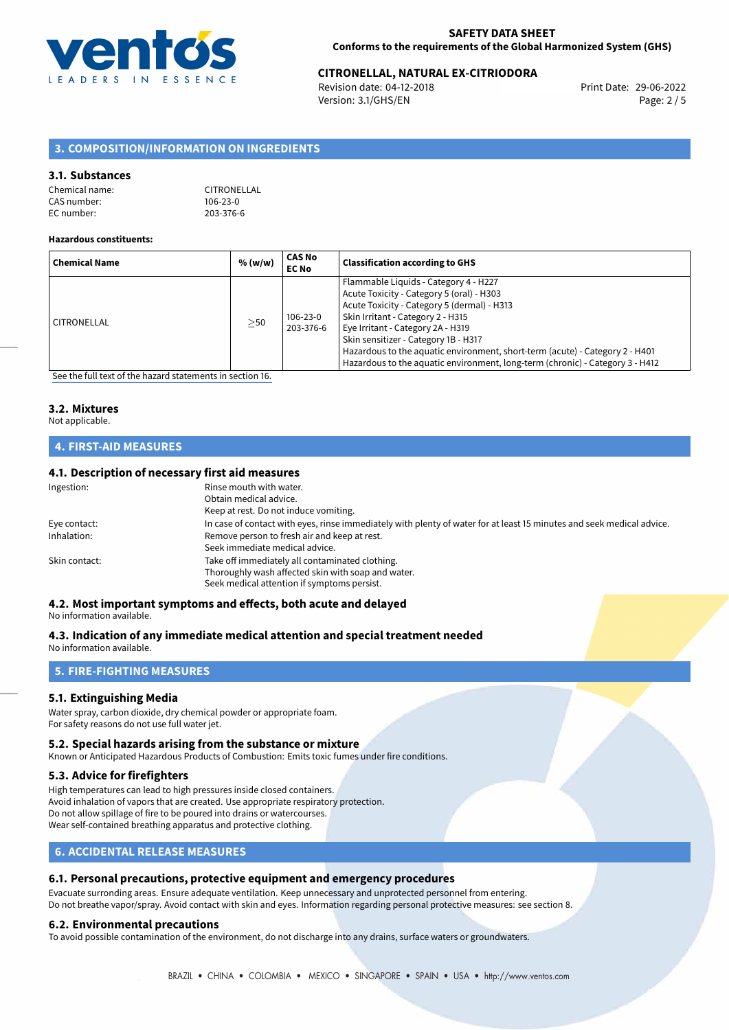

## 29-06-2022 **CITRONELLAL, NATURAL EX-CITRIODORA**

Revision date: 04-12-2018 Version: 3.1/GHS/EN Page: 2 / 5

## **3. COMPOSITION/INFORMATION ON INGREDIENTS**

#### **3.1. Substances**

| Chemical name: | CITRONELLAL    |
|----------------|----------------|
| CAS number: l  | $106 - 23 - 0$ |
| EC number: l   | 203-376-6      |

#### **Hazardous constituents:**

| <b>Chemical Name</b> | % (w/w)   | CAS No<br><b>EC No</b> | <b>Classification according to GHS</b>                                                                                                                                                                                                                                                                                                                                                                               |
|----------------------|-----------|------------------------|----------------------------------------------------------------------------------------------------------------------------------------------------------------------------------------------------------------------------------------------------------------------------------------------------------------------------------------------------------------------------------------------------------------------|
| CITRONELLAL          | $\geq$ 50 | 106-23-0<br>203-376-6  | Flammable Liquids - Category 4 - H227<br>Acute Toxicity - Category 5 (oral) - H303<br>Acute Toxicity - Category 5 (dermal) - H313<br>Skin Irritant - Category 2 - H315<br>Eye Irritant - Category 2A - H319<br>Skin sensitizer - Category 1B - H317<br>Hazardous to the aquatic environment, short-term (acute) - Category 2 - H401<br>Hazardous to the aquatic environment, long-term (chronic) - Category 3 - H412 |

[See the full text of the hazard statements in section 16.](#page-4-0)

## **3.2. Mixtures**

## Not applicable.

## **4. FIRST-AID MEASURES**

#### **4.1. Description of necessary first aid measures**

| In case of contact with eyes, rinse immediately with plenty of water for at least 15 minutes and seek medical advice. |
|-----------------------------------------------------------------------------------------------------------------------|
|                                                                                                                       |
|                                                                                                                       |
|                                                                                                                       |
|                                                                                                                       |
|                                                                                                                       |
|                                                                                                                       |

## **4.2. Most important symptoms and effects, both acute and delayed**

No information available.

## **4.3. Indication of any immediate medical attention and special treatment needed**

No information available.

## **5. FIRE-FIGHTING MEASURES**

#### **5.1. Extinguishing Media**

Water spray, carbon dioxide, dry chemical powder or appropriate foam. For safety reasons do not use full water jet.

#### **5.2. Special hazards arising from the substance or mixture**

Known or Anticipated Hazardous Products of Combustion: Emits toxic fumes under fire conditions.

#### **5.3. Advice for firefighters**

High temperatures can lead to high pressures inside closed containers. Avoid inhalation of vapors that are created. Use appropriate respiratory protection. Do not allow spillage of fire to be poured into drains or watercourses. Wear self-contained breathing apparatus and protective clothing.

#### **6. ACCIDENTAL RELEASE MEASURES**

#### **6.1. Personal precautions, protective equipment and emergency procedures**

Evacuate surronding areas. Ensure adequate ventilation. Keep unnecessary and unprotected personnel from entering. Do not breathe vapor/spray. Avoid contact with skin and eyes. Information regarding personal protective measures: see section 8.

#### **6.2. Environmental precautions**

To avoid possible contamination of the environment, do not discharge into any drains, surface waters or groundwaters.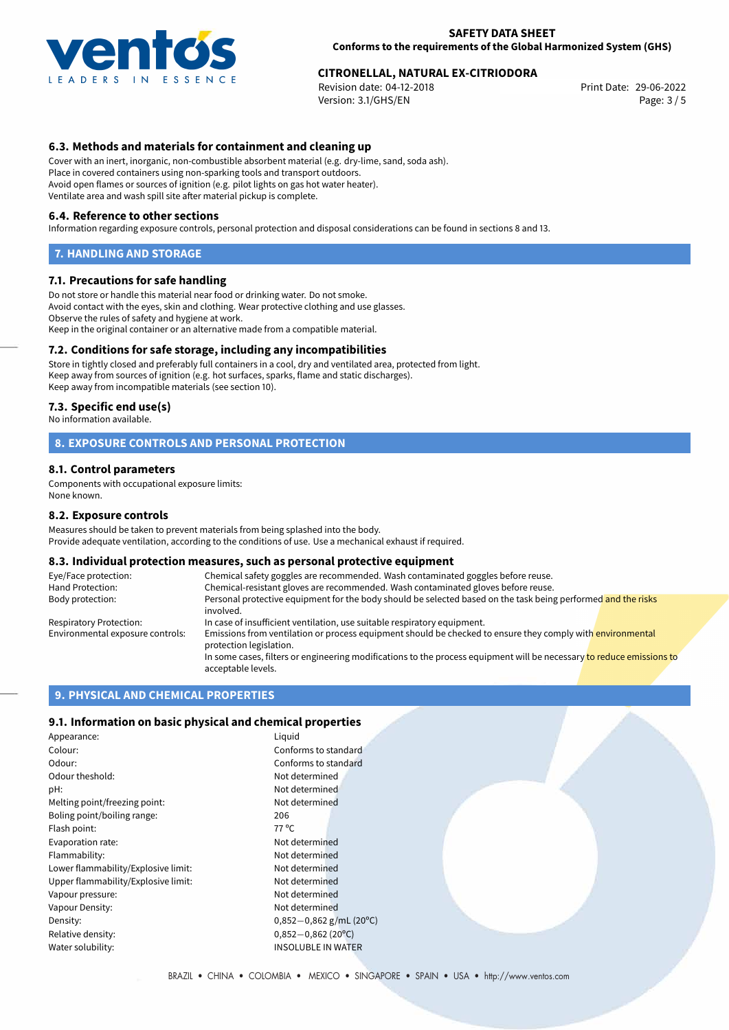

# 29-06-2022 **CITRONELLAL, NATURAL EX-CITRIODORA**

Revision date: 04-12-2018 Version: 3.1/GHS/EN Page: 3 / 5

### **6.3. Methods and materials for containment and cleaning up**

Cover with an inert, inorganic, non-combustible absorbent material (e.g. dry-lime, sand, soda ash). Place in covered containers using non-sparking tools and transport outdoors. Avoid open flames or sources of ignition (e.g. pilot lights on gas hot water heater). Ventilate area and wash spill site after material pickup is complete.

#### **6.4. Reference to other sections**

Information regarding exposure controls, personal protection and disposal considerations can be found in sections 8 and 13.

#### **7. HANDLING AND STORAGE**

#### **7.1. Precautions for safe handling**

Do not store or handle this material near food or drinking water. Do not smoke. Avoid contact with the eyes, skin and clothing. Wear protective clothing and use glasses. Observe the rules of safety and hygiene at work. Keep in the original container or an alternative made from a compatible material.

#### **7.2. Conditions for safe storage, including any incompatibilities**

Store in tightly closed and preferably full containers in a cool, dry and ventilated area, protected from light. Keep away from sources of ignition (e.g. hot surfaces, sparks, flame and static discharges). Keep away from incompatible materials (see section 10).

#### **7.3. Specific end use(s)**

No information available.

#### **8. EXPOSURE CONTROLS AND PERSONAL PROTECTION**

#### **8.1. Control parameters**

Components with occupational exposure limits: None known.

#### **8.2. Exposure controls**

Measures should be taken to prevent materials from being splashed into the body. Provide adequate ventilation, according to the conditions of use. Use a mechanical exhaust if required.

#### **8.3. Individual protection measures, such as personal protective equipment**

| Eye/Face protection:             | Chemical safety goggles are recommended. Wash contaminated goggles before reuse.                                                            |  |  |
|----------------------------------|---------------------------------------------------------------------------------------------------------------------------------------------|--|--|
| Hand Protection:                 | Chemical-resistant gloves are recommended. Wash contaminated gloves before reuse.                                                           |  |  |
| Body protection:                 | Personal protective equipment for the body should be selected based on the task being performed and the risks<br>involved.                  |  |  |
| Respiratory Protection:          | In case of insufficient ventilation, use suitable respiratory equipment.                                                                    |  |  |
| Environmental exposure controls: | Emissions from ventilation or process equipment should be checked to ensure they comply with environmental<br>protection legislation.       |  |  |
|                                  | In some cases, filters or engineering modifications to the process equipment will be necessary to reduce emissions to<br>acceptable levels. |  |  |

## **9. PHYSICAL AND CHEMICAL PROPERTIES**

#### **9.1. Information on basic physical and chemical properties**

| Appearance:                         | Liguid                    |
|-------------------------------------|---------------------------|
| Colour:                             | Conforms to standard      |
| Odour:                              | Conforms to standard      |
| Odour theshold:                     | Not determined            |
| pH:                                 | Not determined            |
| Melting point/freezing point:       | Not determined            |
| Boling point/boiling range:         | 206                       |
| Flash point:                        | 77 °C                     |
| Evaporation rate:                   | Not determined            |
| Flammability:                       | Not determined            |
| Lower flammability/Explosive limit: | Not determined            |
| Upper flammability/Explosive limit: | Not determined            |
| Vapour pressure:                    | Not determined            |
| Vapour Density:                     | Not determined            |
| Density:                            | $0,852-0,862$ g/mL (20°C) |
| Relative density:                   | $0,852 - 0,862$ (20°C)    |
| Water solubility:                   | <b>INSOLUBLE IN WATER</b> |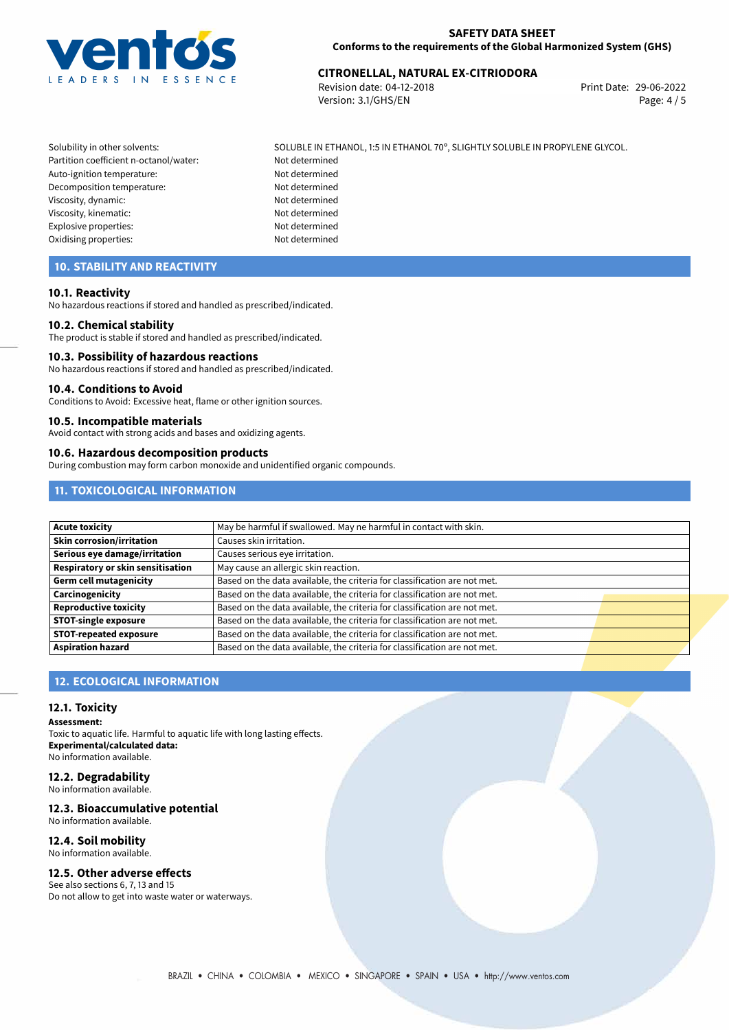

# 29-06-2022 **CITRONELLAL, NATURAL EX-CITRIODORA**

Revision date: 04-12-2018 Version: 3.1/GHS/EN Page: 4 / 5

Solubility in other solvents: SOLUBLE IN ETHANOL, 1:5 IN ETHANOL 70°, SLIGHTLY SOLUBLE IN PROPYLENE GLYCOL. Partition coefficient n-octanol/water: Not determined Auto-ignition temperature: Not determined Decomposition temperature: Not determined Viscosity, dynamic: Not determined Viscosity, kinematic: Not determined Explosive properties: Not determined Oxidising properties: Not determined

## **10. STABILITY AND REACTIVITY**

#### **10.1. Reactivity**

No hazardous reactions if stored and handled as prescribed/indicated.

#### **10.2. Chemical stability**

The product is stable if stored and handled as prescribed/indicated.

#### **10.3. Possibility of hazardous reactions**

No hazardous reactions if stored and handled as prescribed/indicated.

#### **10.4. Conditions to Avoid**

Conditions to Avoid: Excessive heat, flame or other ignition sources.

#### **10.5. Incompatible materials**

Avoid contact with strong acids and bases and oxidizing agents.

#### **10.6. Hazardous decomposition products**

During combustion may form carbon monoxide and unidentified organic compounds.

## **11. TOXICOLOGICAL INFORMATION**

| <b>Acute toxicity</b>             | May be harmful if swallowed. May ne harmful in contact with skin.         |  |
|-----------------------------------|---------------------------------------------------------------------------|--|
| <b>Skin corrosion/irritation</b>  | Causes skin irritation.                                                   |  |
| Serious eye damage/irritation     | Causes serious eye irritation.                                            |  |
| Respiratory or skin sensitisation | May cause an allergic skin reaction.                                      |  |
| Germ cell mutagenicity            | Based on the data available, the criteria for classification are not met. |  |
| Carcinogenicity                   | Based on the data available, the criteria for classification are not met. |  |
| <b>Reproductive toxicity</b>      | Based on the data available, the criteria for classification are not met. |  |
| <b>STOT-single exposure</b>       | Based on the data available, the criteria for classification are not met. |  |
| <b>STOT-repeated exposure</b>     | Based on the data available, the criteria for classification are not met. |  |
| <b>Aspiration hazard</b>          | Based on the data available, the criteria for classification are not met. |  |

## **12. ECOLOGICAL INFORMATION**

#### **12.1. Toxicity**

**Assessment:**

Toxic to aquatic life. Harmful to aquatic life with long lasting effects. **Experimental/calculated data:** No information available.

## **12.2. Degradability**

No information available.

#### **12.3. Bioaccumulative potential**

No information available.

## **12.4. Soil mobility**

No information available.

## **12.5. Other adverse effects**

See also sections 6, 7, 13 and 15 Do not allow to get into waste water or waterways.